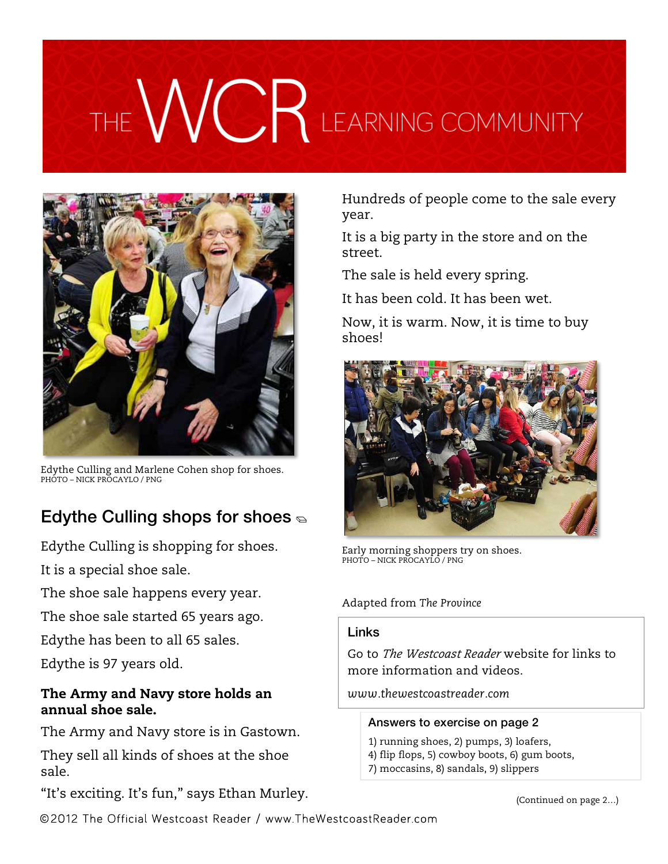# THE WCR LEARNING COMMUNITY



Edythe Culling and Marlene Cohen shop for shoes. PHOTO – NICK PROCAYLO / PNG

## Edythe Culling shops for shoes  $\epsilon$

Edythe Culling is shopping for shoes.

It is a special shoe sale.

The shoe sale happens every year.

The shoe sale started 65 years ago.

Edythe has been to all 65 sales.

Edythe is 97 years old.

#### The Army and Navy store holds an annual shoe sale.

The Army and Navy store is in Gastown.

They sell all kinds of shoes at the shoe sale.

"It's exciting. It's fun," says Ethan Murley.

Hundreds of people come to the sale every year.

It is a big party in the store and on the street.

The sale is held every spring.

It has been cold. It has been wet.

Now, it is warm. Now, it is time to buy shoes!



Early morning shoppers try on shoes. PHOTO – NICK PROCAYLO / PNG

#### Adapted from *The Province*

#### **Links**

Go to *The Westcoast Reader* website for links to more information and videos.

*www.thewestcoastreader.com*

#### Answers to exercise on page 2

1) running shoes, 2) pumps, 3) loafers, 4) flip flops, 5) cowboy boots, 6) gum boots, 7) moccasins, 8) sandals, 9) slippers

(Continued on page 2…)

©2012 The Official Westcoast Reader / www.TheWestcoastReader.com